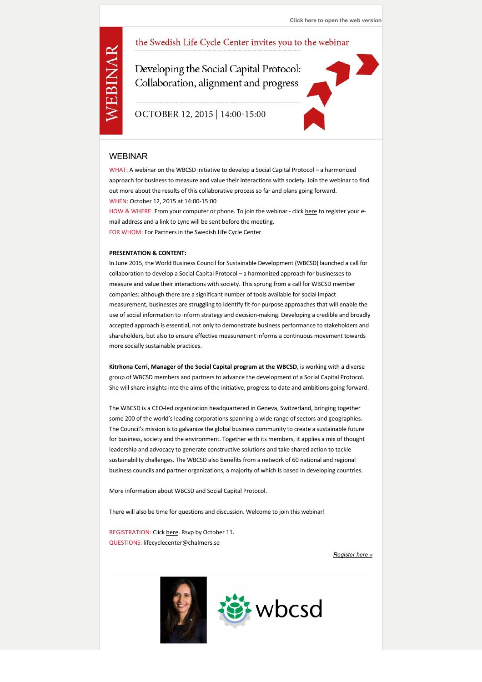## the Swedish Life Cycle Center invites you to the webinar

Developing the Social Capital Protocol: Collaboration, alignment and progress

## OCTOBER 12, 2015 | 14:00-15:00

### WEBINAR

WEBINAR

WHAT: A webinar on the WBCSD initiative to develop a Social Capital Protocol – a harmonized approach for business to measure and value their interactions with society. Join the webinar to find out more about the results of this collaborative process so far and plans going forward. WHEN: October 12, 2015 at 14:00‐15:00 HOW & WHERE: From your computer or phone. To join the webinar - click [here](http://tr.anpdm.com/track?t=c&mid=15484258&uid=601441901&&&https%3A%2F%2Fdocs.google.com%2Fforms%2Fd%2F1c2TzyGuFUzKcyRbytLEZP1RPQEOQY_G5Y-XovAWYEfo%2Fviewform%3Futm_source%3Dapsis%26utm_medium%3Dnyhetsbrev%26utm_content%3Dunspecified%26utm_campaign%3Dunspecified) to register your e-

mail address and a link to Lync will be sent before the meeting. FOR WHOM: For Partners in the Swedish Life Cycle Center

#### **PRESENTATION & CONTENT:**

In June 2015, the World Business Council for Sustainable Development (WBCSD) launched a call for collaboration to develop a Social Capital Protocol – a harmonized approach for businesses to measure and value their interactions with society. This sprung from a call for WBCSD member companies: although there are a significant number of tools available for social impact measurement, businesses are struggling to identify fit‐for‐purpose approaches that will enable the use of social information to inform strategy and decision-making. Developing a credible and broadly accepted approach is essential, not only to demonstrate business performance to stakeholders and shareholders, but also to ensure effective measurement informs a continuous movement towards more socially sustainable practices.

**Kitrhona Cerri, Manager of the Social Capital program at the WBCSD**, is working with a diverse group of WBCSD members and partners to advance the development of a Social Capital Protocol. She will share insights into the aims of the initiative, progress to date and ambitions going forward.

The WBCSD is a CEO‐led organization headquartered in Geneva, Switzerland, bringing together some 200 of the world's leading corporations spanning a wide range of sectors and geographies. The Council's mission is to galvanize the global business community to create a sustainable future for business, society and the environment. Together with its members, it applies a mix of thought leadership and advocacy to generate constructive solutions and take shared action to tackle sustainability challenges. The WBCSD also benefits from a network of 60 national and regional business councils and partner organizations, a majority of which is based in developing countries.

More information about [WBCSD and Social Capital Protocol.](http://tr.anpdm.com/track?t=c&mid=15484258&uid=601441901&&&http%3A%2F%2Fwww.wbcsd.org%2Fsocialcapital.aspx+%3Futm_source%3Dapsis%26utm_medium%3Dnyhetsbrev%26utm_content%3Dunspecified%26utm_campaign%3Dunspecified)

There will also be time for questions and discussion. Welcome to join this webinar!

REGISTRATION: Click [here](http://tr.anpdm.com/track?t=c&mid=15484258&uid=601441901&&&https%3A%2F%2Fdocs.google.com%2Fforms%2Fd%2F1c2TzyGuFUzKcyRbytLEZP1RPQEOQY_G5Y-XovAWYEfo%2Fviewform%3Futm_source%3Dapsis%26utm_medium%3Dnyhetsbrev%26utm_content%3Dunspecified%26utm_campaign%3Dunspecified). Rsvp by October 11. QUESTIONS: lifecyclecenter@chalmers.se

*[Register here »](http://tr.anpdm.com/track?t=c&mid=15484258&uid=601441901&&&https%3A%2F%2Fdocs.google.com%2Fforms%2Fd%2F1c2TzyGuFUzKcyRbytLEZP1RPQEOQY_G5Y-XovAWYEfo%2Fviewform%3Futm_source%3Dapsis%26utm_medium%3Dnyhetsbrev%26utm_content%3Dunspecified%26utm_campaign%3Dunspecified)*